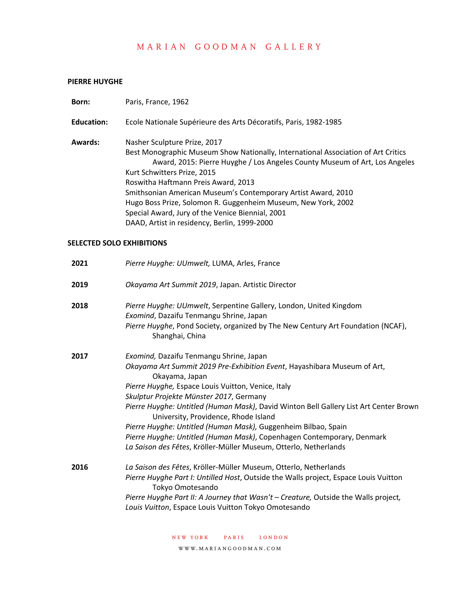#### **PIERRE HUYGHE**

| Born:             | Paris, France, 1962                                                                                                                                                                                                                                                                                                                                                                                                                                                                                                                                                                     |
|-------------------|-----------------------------------------------------------------------------------------------------------------------------------------------------------------------------------------------------------------------------------------------------------------------------------------------------------------------------------------------------------------------------------------------------------------------------------------------------------------------------------------------------------------------------------------------------------------------------------------|
| <b>Education:</b> | Ecole Nationale Supérieure des Arts Décoratifs, Paris, 1982-1985                                                                                                                                                                                                                                                                                                                                                                                                                                                                                                                        |
| <b>Awards:</b>    | Nasher Sculpture Prize, 2017<br>Best Monographic Museum Show Nationally, International Association of Art Critics<br>Award, 2015: Pierre Huyghe / Los Angeles County Museum of Art, Los Angeles<br>Kurt Schwitters Prize, 2015<br>Roswitha Haftmann Preis Award, 2013<br>Smithsonian American Museum's Contemporary Artist Award, 2010<br>Hugo Boss Prize, Solomon R. Guggenheim Museum, New York, 2002<br>Special Award, Jury of the Venice Biennial, 2001<br>DAAD, Artist in residency, Berlin, 1999-2000                                                                             |
|                   | <b>SELECTED SOLO EXHIBITIONS</b>                                                                                                                                                                                                                                                                                                                                                                                                                                                                                                                                                        |
| 2021              | Pierre Huyghe: UUmwelt, LUMA, Arles, France                                                                                                                                                                                                                                                                                                                                                                                                                                                                                                                                             |
| 2019              | Okayama Art Summit 2019, Japan. Artistic Director                                                                                                                                                                                                                                                                                                                                                                                                                                                                                                                                       |
| 2018              | Pierre Huyghe: UUmwelt, Serpentine Gallery, London, United Kingdom<br>Exomind, Dazaifu Tenmangu Shrine, Japan<br>Pierre Huyghe, Pond Society, organized by The New Century Art Foundation (NCAF),<br>Shanghai, China                                                                                                                                                                                                                                                                                                                                                                    |
| 2017              | Exomind, Dazaifu Tenmangu Shrine, Japan<br>Okayama Art Summit 2019 Pre-Exhibition Event, Hayashibara Museum of Art,<br>Okayama, Japan<br>Pierre Huyghe, Espace Louis Vuitton, Venice, Italy<br>Skulptur Projekte Münster 2017, Germany<br>Pierre Huyghe: Untitled (Human Mask), David Winton Bell Gallery List Art Center Brown<br>University, Providence, Rhode Island<br>Pierre Huyghe: Untitled (Human Mask), Guggenheim Bilbao, Spain<br>Pierre Huyghe: Untitled (Human Mask), Copenhagen Contemporary, Denmark<br>La Saison des Fêtes, Kröller-Müller Museum, Otterlo, Netherlands |
| 2016              | La Saison des Fêtes, Kröller-Müller Museum, Otterlo, Netherlands<br>Pierre Huyghe Part I: Untilled Host, Outside the Walls project, Espace Louis Vuitton<br>Tokyo Omotesando<br>Pierre Huyghe Part II: A Journey that Wasn't - Creature, Outside the Walls project,<br>Louis Vuitton, Espace Louis Vuitton Tokyo Omotesando                                                                                                                                                                                                                                                             |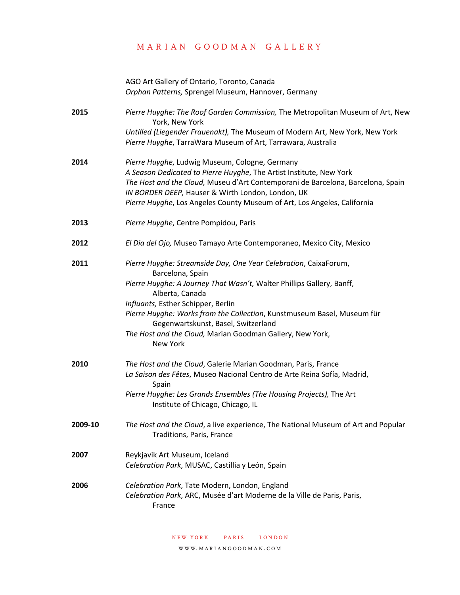AGO Art Gallery of Ontario, Toronto, Canada *Orphan Patterns,* Sprengel Museum, Hannover, Germany

**2015** *Pierre Huyghe: The Roof Garden Commission,* The Metropolitan Museum of Art, New York, New York *Untilled (Liegender Frauenakt),* The Museum of Modern Art, New York, New York *Pierre Huyghe*, TarraWara Museum of Art, Tarrawara, Australia

- **2014** *Pierre Huyghe*, Ludwig Museum, Cologne, Germany *A Season Dedicated to Pierre Huyghe*, The Artist Institute, New York *The Host and the Cloud,* Museu d'Art Contemporani de Barcelona, Barcelona, Spain *IN BORDER DEEP,* Hauser & Wirth London, London, UK *Pierre Huyghe*, Los Angeles County Museum of Art, Los Angeles, California
- **2013** *Pierre Huyghe*, Centre Pompidou, Paris
- **2012** *El Dia del Ojo,* Museo Tamayo Arte Contemporaneo, Mexico City, Mexico
- **2011** *Pierre Huyghe: Streamside Day, One Year Celebration*, CaixaForum, Barcelona, Spain *Pierre Huyghe: A Journey That Wasn't,* Walter Phillips Gallery, Banff, Alberta, Canada *Influants,* Esther Schipper, Berlin *Pierre Huyghe: Works from the Collection*, Kunstmuseum Basel, Museum für Gegenwartskunst, Basel, Switzerland
	- *The Host and the Cloud,* Marian Goodman Gallery, New York, New York
- **2010** *The Host and the Cloud*, Galerie Marian Goodman, Paris, France *La Saison des Fêtes*, Museo Nacional Centro de Arte Reina Sofía, Madrid, Spain *Pierre Huyghe: Les Grands Ensembles (The Housing Projects),* The Art Institute of Chicago, Chicago, IL
- **2009-10** *The Host and the Cloud*, a live experience, The National Museum of Art and Popular Traditions, Paris, France
- **2007** Reykjavik Art Museum, Iceland *Celebration Park*, MUSAC, Castillia y León, Spain
- **2006** *Celebration Park*, Tate Modern, London, England *Celebration Park*, ARC, Musée d'art Moderne de la Ville de Paris, Paris, France

new york paris london

www.mariangoodman.com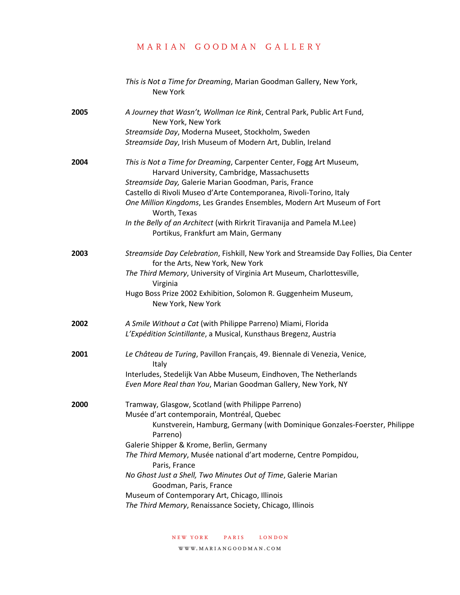|      | This is Not a Time for Dreaming, Marian Goodman Gallery, New York,<br>New York                                                      |
|------|-------------------------------------------------------------------------------------------------------------------------------------|
| 2005 | A Journey that Wasn't, Wollman Ice Rink, Central Park, Public Art Fund,<br>New York, New York                                       |
|      | Streamside Day, Moderna Museet, Stockholm, Sweden                                                                                   |
|      | Streamside Day, Irish Museum of Modern Art, Dublin, Ireland                                                                         |
| 2004 | This is Not a Time for Dreaming, Carpenter Center, Fogg Art Museum,<br>Harvard University, Cambridge, Massachusetts                 |
|      | Streamside Day, Galerie Marian Goodman, Paris, France                                                                               |
|      | Castello di Rivoli Museo d'Arte Contemporanea, Rivoli-Torino, Italy                                                                 |
|      | One Million Kingdoms, Les Grandes Ensembles, Modern Art Museum of Fort<br>Worth, Texas                                              |
|      | In the Belly of an Architect (with Rirkrit Tiravanija and Pamela M.Lee)<br>Portikus, Frankfurt am Main, Germany                     |
| 2003 | Streamside Day Celebration, Fishkill, New York and Streamside Day Follies, Dia Center<br>for the Arts, New York, New York           |
|      | The Third Memory, University of Virginia Art Museum, Charlottesville,<br>Virginia                                                   |
|      | Hugo Boss Prize 2002 Exhibition, Solomon R. Guggenheim Museum,<br>New York, New York                                                |
| 2002 | A Smile Without a Cat (with Philippe Parreno) Miami, Florida                                                                        |
|      | L'Expédition Scintillante, a Musical, Kunsthaus Bregenz, Austria                                                                    |
| 2001 | Le Château de Turing, Pavillon Français, 49. Biennale di Venezia, Venice,<br>Italy                                                  |
|      | Interludes, Stedelijk Van Abbe Museum, Eindhoven, The Netherlands                                                                   |
|      | Even More Real than You, Marian Goodman Gallery, New York, NY                                                                       |
| 2000 | Tramway, Glasgow, Scotland (with Philippe Parreno)                                                                                  |
|      | Musée d'art contemporain, Montréal, Quebec<br>Kunstverein, Hamburg, Germany (with Dominique Gonzales-Foerster, Philippe<br>Parreno) |
|      | Galerie Shipper & Krome, Berlin, Germany                                                                                            |
|      | The Third Memory, Musée national d'art moderne, Centre Pompidou,<br>Paris, France                                                   |
|      | No Ghost Just a Shell, Two Minutes Out of Time, Galerie Marian<br>Goodman, Paris, France                                            |
|      | Museum of Contemporary Art, Chicago, Illinois                                                                                       |
|      | The Third Memory, Renaissance Society, Chicago, Illinois                                                                            |
|      |                                                                                                                                     |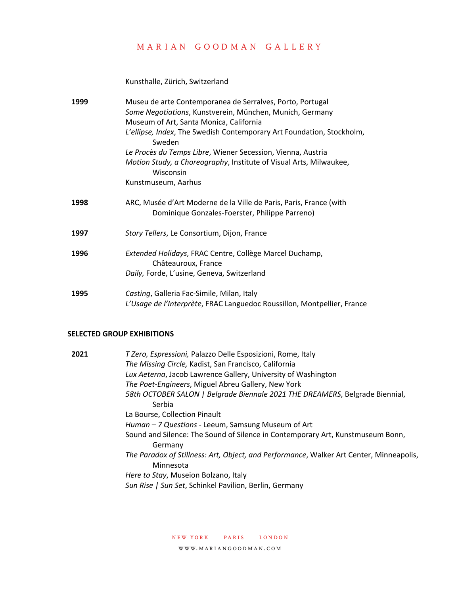Kunsthalle, Zürich, Switzerland

| 1999 | Museu de arte Contemporanea de Serralves, Porto, Portugal<br>Some Negotiations, Kunstverein, München, Munich, Germany<br>Museum of Art, Santa Monica, California<br>L'ellipse, Index, The Swedish Contemporary Art Foundation, Stockholm,<br>Sweden<br>Le Procès du Temps Libre, Wiener Secession, Vienna, Austria<br>Motion Study, a Choreography, Institute of Visual Arts, Milwaukee,<br>Wisconsin |
|------|-------------------------------------------------------------------------------------------------------------------------------------------------------------------------------------------------------------------------------------------------------------------------------------------------------------------------------------------------------------------------------------------------------|
|      | Kunstmuseum, Aarhus                                                                                                                                                                                                                                                                                                                                                                                   |
| 1998 | ARC, Musée d'Art Moderne de la Ville de Paris, Paris, France (with<br>Dominique Gonzales-Foerster, Philippe Parreno)                                                                                                                                                                                                                                                                                  |
| 1997 | Story Tellers, Le Consortium, Dijon, France                                                                                                                                                                                                                                                                                                                                                           |
| 1996 | Extended Holidays, FRAC Centre, Collège Marcel Duchamp,<br>Châteauroux, France<br>Daily, Forde, L'usine, Geneva, Switzerland                                                                                                                                                                                                                                                                          |
| 1995 | Casting, Galleria Fac-Simile, Milan, Italy<br>L'Usage de l'Interprète, FRAC Languedoc Roussillon, Montpellier, France                                                                                                                                                                                                                                                                                 |

#### **SELECTED GROUP EXHIBITIONS**

| 2021 | T Zero, Espressioni, Palazzo Delle Esposizioni, Rome, Italy                                          |
|------|------------------------------------------------------------------------------------------------------|
|      | The Missing Circle, Kadist, San Francisco, California                                                |
|      | Lux Aeterna, Jacob Lawrence Gallery, University of Washington                                        |
|      | The Poet-Engineers, Miguel Abreu Gallery, New York                                                   |
|      | 58th OCTOBER SALON   Belgrade Biennale 2021 THE DREAMERS, Belgrade Biennial,                         |
|      | Serbia                                                                                               |
|      | La Bourse, Collection Pinault                                                                        |
|      | Human - 7 Questions - Leeum, Samsung Museum of Art                                                   |
|      | Sound and Silence: The Sound of Silence in Contemporary Art, Kunstmuseum Bonn,<br>Germany            |
|      | The Paradox of Stillness: Art, Object, and Performance, Walker Art Center, Minneapolis,<br>Minnesota |
|      | Here to Stay, Museion Bolzano, Italy                                                                 |
|      | Sun Rise   Sun Set, Schinkel Pavilion, Berlin, Germany                                               |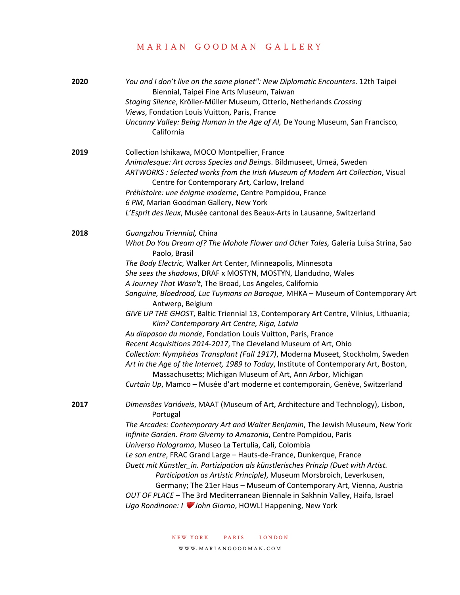| 2020 | You and I don't live on the same planet": New Diplomatic Encounters. 12th Taipei<br>Biennial, Taipei Fine Arts Museum, Taiwan<br>Staging Silence, Kröller-Müller Museum, Otterlo, Netherlands Crossing<br>Views, Fondation Louis Vuitton, Paris, France<br>Uncanny Valley: Being Human in the Age of AI, De Young Museum, San Francisco,<br>California                                                                                                                                                                                                                                                                                                                                                                                                                                                                                                                                                                                                                                                                                   |
|------|------------------------------------------------------------------------------------------------------------------------------------------------------------------------------------------------------------------------------------------------------------------------------------------------------------------------------------------------------------------------------------------------------------------------------------------------------------------------------------------------------------------------------------------------------------------------------------------------------------------------------------------------------------------------------------------------------------------------------------------------------------------------------------------------------------------------------------------------------------------------------------------------------------------------------------------------------------------------------------------------------------------------------------------|
| 2019 | Collection Ishikawa, MOCO Montpellier, France<br>Animalesque: Art across Species and Beings. Bildmuseet, Umeå, Sweden<br>ARTWORKS : Selected works from the Irish Museum of Modern Art Collection, Visual<br>Centre for Contemporary Art, Carlow, Ireland<br>Préhistoire: une énigme moderne, Centre Pompidou, France<br>6 PM, Marian Goodman Gallery, New York<br>L'Esprit des lieux, Musée cantonal des Beaux-Arts in Lausanne, Switzerland                                                                                                                                                                                                                                                                                                                                                                                                                                                                                                                                                                                            |
| 2018 | Guangzhou Triennial, China<br>What Do You Dream of? The Mohole Flower and Other Tales, Galeria Luisa Strina, Sao<br>Paolo, Brasil<br>The Body Electric, Walker Art Center, Minneapolis, Minnesota<br>She sees the shadows, DRAF x MOSTYN, MOSTYN, Llandudno, Wales<br>A Journey That Wasn't, The Broad, Los Angeles, California<br>Sanguine, Bloedrood, Luc Tuymans on Baroque, MHKA - Museum of Contemporary Art<br>Antwerp, Belgium<br>GIVE UP THE GHOST, Baltic Triennial 13, Contemporary Art Centre, Vilnius, Lithuania;<br>Kim? Contemporary Art Centre, Riga, Latvia<br>Au diapason du monde, Fondation Louis Vuitton, Paris, France<br>Recent Acquisitions 2014-2017, The Cleveland Museum of Art, Ohio<br>Collection: Nymphéas Transplant (Fall 1917), Moderna Museet, Stockholm, Sweden<br>Art in the Age of the Internet, 1989 to Today, Institute of Contemporary Art, Boston,<br>Massachusetts; Michigan Museum of Art, Ann Arbor, Michigan<br>Curtain Up, Mamco - Musée d'art moderne et contemporain, Genève, Switzerland |
| 2017 | Dimensões Variáveis, MAAT (Museum of Art, Architecture and Technology), Lisbon,<br>Portugal<br>The Arcades: Contemporary Art and Walter Benjamin, The Jewish Museum, New York<br>Infinite Garden. From Giverny to Amazonia, Centre Pompidou, Paris<br>Universo Holograma, Museo La Tertulia, Cali, Colombia<br>Le son entre, FRAC Grand Large - Hauts-de-France, Dunkerque, France<br>Duett mit Künstler_in. Partizipation als künstlerisches Prinzip (Duet with Artist.<br>Participation as Artistic Principle), Museum Morsbroich, Leverkusen,<br>Germany; The 21er Haus - Museum of Contemporary Art, Vienna, Austria<br>OUT OF PLACE - The 3rd Mediterranean Biennale in Sakhnin Valley, Haifa, Israel<br>Ugo Rondinone: I V John Giorno, HOWL! Happening, New York                                                                                                                                                                                                                                                                  |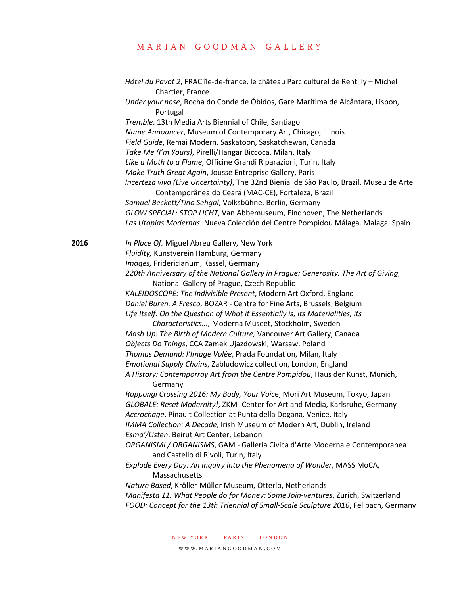*Hôtel du Pavot 2*, FRAC île-de-france, le château Parc culturel de Rentilly – Michel Chartier, France *Under your nose*, Rocha do Conde de Óbidos, Gare Marítima de Alcântara, Lisbon, Portugal *Tremble*. 13th Media Arts Biennial of Chile, Santiago *Name Announcer*, Museum of Contemporary Art, Chicago, Illinois *Field Guide*, Remai Modern. Saskatoon, Saskatchewan, Canada *Take Me (I'm Yours)*, Pirelli/Hangar Biccoca. Milan, Italy *Like a Moth to a Flame*, Officine Grandi Riparazioni, Turin, Italy *Make Truth Great Again*, Jousse Entreprise Gallery, Paris *Incerteza viva (Live Uncertainty)*, The 32nd Bienial de São Paulo, Brazil, Museu de Arte Contemporânea do Ceará (MAC-CE), Fortaleza, Brazil *Samuel Beckett/Tino Sehgal*, Volksbühne, Berlin, Germany *GLOW SPECIAL: STOP LICHT*, Van Abbemuseum, Eindhoven, The Netherlands *Las Utopías Modernas*, Nueva Colección del Centre Pompidou Málaga. Malaga, Spain **2016** *In Place Of,* Miguel Abreu Gallery, New York *Fluidity,* Kunstverein Hamburg, Germany *Images,* Fridericianum, Kassel, Germany *220th Anniversary of the National Gallery in Prague: Generosity. The Art of Giving,*  National Gallery of Prague, Czech Republic *KALEIDOSCOPE: The Indivisible Present*, Modern Art Oxford, England *Daniel Buren. A Fresco,* BOZAR - Centre for Fine Arts, Brussels, Belgium *Life Itself. On the Question of What it Essentially is; its Materialities, its Characteristics...,* Moderna Museet, Stockholm, Sweden *Mash Up: The Birth of Modern Culture,* Vancouver Art Gallery, Canada *Objects Do Things*, CCA Zamek Ujazdowski, Warsaw, Poland *Thomas Demand: l'Image Volée*, Prada Foundation, Milan, Italy *Emotional Supply Chains*, Zabludowicz collection, London, England *A History: Contemporray Art from the Centre Pompidou*, Haus der Kunst, Munich, Germany *Roppongi Crossing 2016: My Body, Your Voic*e, Mori Art Museum, Tokyo, Japan *GLOBALE: Reset Modernity!*, ZKM- Center for Art and Media, Karlsruhe, Germany *Accrochage*, Pinault Collection at Punta della Dogana*,* Venice, Italy *IMMA Collection: A Decade*, Irish Museum of Modern Art, Dublin, Ireland *Esma'/Listen*, Beirut Art Center, Lebanon *ORGANISMI / ORGANISMS*, GAM - Galleria Civica d'Arte Moderna e Contemporanea and Castello di Rivoli, Turin, Italy *Explode Every Day: An Inquiry into the Phenomena of Wonder*, MASS MoCA, Massachusetts *Nature Based*, Kröller-Müller Museum, Otterlo, Netherlands *Manifesta 11. What People do for Money: Some Join-ventures*, Zurich, Switzerland *FOOD: Concept for the 13th Triennial of Small-Scale Sculpture 2016*, Fellbach, Germany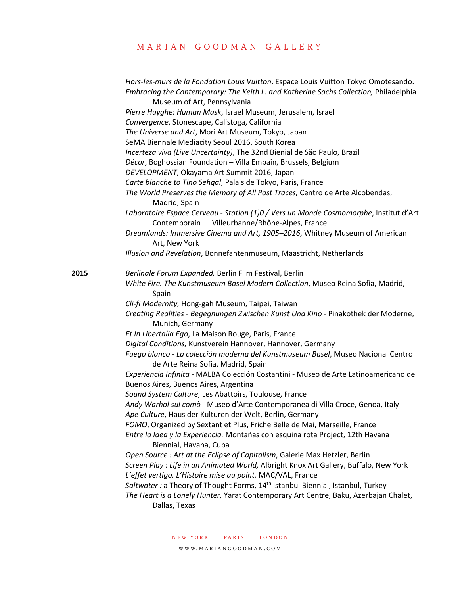|      | Hors-les-murs de la Fondation Louis Vuitton, Espace Louis Vuitton Tokyo Omotesando.<br>Embracing the Contemporary: The Keith L. and Katherine Sachs Collection, Philadelphia<br>Museum of Art, Pennsylvania |
|------|-------------------------------------------------------------------------------------------------------------------------------------------------------------------------------------------------------------|
|      | Pierre Huyghe: Human Mask, Israel Museum, Jerusalem, Israel                                                                                                                                                 |
|      | Convergence, Stonescape, Calistoga, California                                                                                                                                                              |
|      | The Universe and Art, Mori Art Museum, Tokyo, Japan                                                                                                                                                         |
|      | SeMA Biennale Mediacity Seoul 2016, South Korea                                                                                                                                                             |
|      | Incerteza viva (Live Uncertainty), The 32nd Bienial de São Paulo, Brazil                                                                                                                                    |
|      | Décor, Boghossian Foundation - Villa Empain, Brussels, Belgium                                                                                                                                              |
|      | DEVELOPMENT, Okayama Art Summit 2016, Japan                                                                                                                                                                 |
|      | Carte blanche to Tino Sehgal, Palais de Tokyo, Paris, France                                                                                                                                                |
|      | The World Preserves the Memory of All Past Traces, Centro de Arte Alcobendas,<br>Madrid, Spain                                                                                                              |
|      | Laboratoire Espace Cerveau - Station (1)0 / Vers un Monde Cosmomorphe, Institut d'Art<br>Contemporain - Villeurbanne/Rhône-Alpes, France                                                                    |
|      | Dreamlands: Immersive Cinema and Art, 1905-2016, Whitney Museum of American<br>Art, New York                                                                                                                |
|      | Illusion and Revelation, Bonnefantenmuseum, Maastricht, Netherlands                                                                                                                                         |
| 2015 | Berlinale Forum Expanded, Berlin Film Festival, Berlin                                                                                                                                                      |
|      | White Fire. The Kunstmuseum Basel Modern Collection, Museo Reina Sofia, Madrid,<br>Spain                                                                                                                    |
|      | Cli-fi Modernity, Hong-gah Museum, Taipei, Taiwan                                                                                                                                                           |
|      | Creating Realities - Begegnungen Zwischen Kunst Und Kino - Pinakothek der Moderne,<br>Munich, Germany                                                                                                       |
|      | Et In Libertalia Ego, La Maison Rouge, Paris, France                                                                                                                                                        |
|      | Digital Conditions, Kunstverein Hannover, Hannover, Germany                                                                                                                                                 |
|      | Fuego blanco - La colección moderna del Kunstmuseum Basel, Museo Nacional Centro<br>de Arte Reina Sofía, Madrid, Spain                                                                                      |
|      | Experiencia Infinita - MALBA Colección Costantini - Museo de Arte Latinoamericano de                                                                                                                        |
|      | Buenos Aires, Buenos Aires, Argentina                                                                                                                                                                       |
|      | Sound System Culture, Les Abattoirs, Toulouse, France                                                                                                                                                       |
|      | Andy Warhol sul comò - Museo d'Arte Contemporanea di Villa Croce, Genoa, Italy                                                                                                                              |
|      | Ape Culture, Haus der Kulturen der Welt, Berlin, Germany                                                                                                                                                    |
|      | FOMO, Organized by Sextant et Plus, Friche Belle de Mai, Marseille, France                                                                                                                                  |
|      | Entre la Idea y la Experiencia. Montañas con esquina rota Project, 12th Havana<br>Biennial, Havana, Cuba                                                                                                    |
|      | Open Source : Art at the Eclipse of Capitalism, Galerie Max Hetzler, Berlin                                                                                                                                 |
|      | Screen Play : Life in an Animated World, Albright Knox Art Gallery, Buffalo, New York                                                                                                                       |
|      | L'effet vertigo, L'Histoire mise au point. MAC/VAL, France                                                                                                                                                  |
|      | Saltwater: a Theory of Thought Forms, 14 <sup>th</sup> Istanbul Biennial, Istanbul, Turkey                                                                                                                  |
|      | The Heart is a Lonely Hunter, Yarat Contemporary Art Centre, Baku, Azerbajan Chalet,<br>Dallas, Texas                                                                                                       |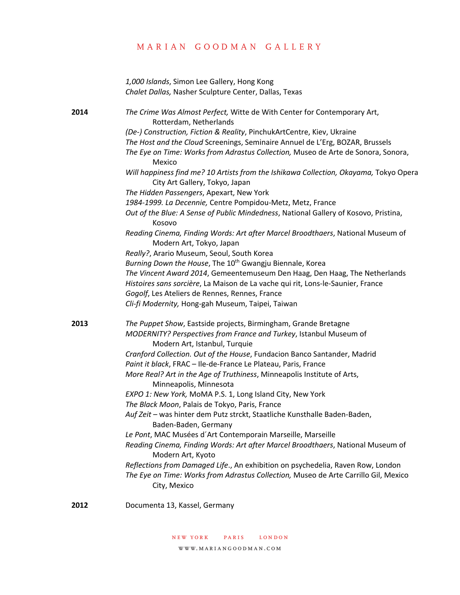|      | 1,000 Islands, Simon Lee Gallery, Hong Kong<br>Chalet Dallas, Nasher Sculpture Center, Dallas, Texas                                                                                                                                                                                                                                                                                                                                                                                                                                                                                                                                                                                                                                                                                                                                                                                                                                                                                                                                                                                                                                                                                                             |
|------|------------------------------------------------------------------------------------------------------------------------------------------------------------------------------------------------------------------------------------------------------------------------------------------------------------------------------------------------------------------------------------------------------------------------------------------------------------------------------------------------------------------------------------------------------------------------------------------------------------------------------------------------------------------------------------------------------------------------------------------------------------------------------------------------------------------------------------------------------------------------------------------------------------------------------------------------------------------------------------------------------------------------------------------------------------------------------------------------------------------------------------------------------------------------------------------------------------------|
| 2014 | The Crime Was Almost Perfect, Witte de With Center for Contemporary Art,<br>Rotterdam, Netherlands<br>(De-) Construction, Fiction & Reality, PinchukArtCentre, Kiev, Ukraine<br>The Host and the Cloud Screenings, Seminaire Annuel de L'Erg, BOZAR, Brussels<br>The Eye on Time: Works from Adrastus Collection, Museo de Arte de Sonora, Sonora,<br>Mexico<br>Will happiness find me? 10 Artists from the Ishikawa Collection, Okayama, Tokyo Opera<br>City Art Gallery, Tokyo, Japan<br>The Hidden Passengers, Apexart, New York<br>1984-1999. La Decennie, Centre Pompidou-Metz, Metz, France<br>Out of the Blue: A Sense of Public Mindedness, National Gallery of Kosovo, Pristina,<br>Kosovo<br>Reading Cinema, Finding Words: Art after Marcel Broodthaers, National Museum of<br>Modern Art, Tokyo, Japan<br>Really?, Arario Museum, Seoul, South Korea<br>Burning Down the House, The 10 <sup>th</sup> Gwangju Biennale, Korea<br>The Vincent Award 2014, Gemeentemuseum Den Haag, Den Haag, The Netherlands<br>Histoires sans sorcière, La Maison de La vache qui rit, Lons-le-Saunier, France<br>Gogolf, Les Ateliers de Rennes, Rennes, France<br>Cli-fi Modernity, Hong-gah Museum, Taipei, Taiwan |
| 2013 | The Puppet Show, Eastside projects, Birmingham, Grande Bretagne<br>MODERNITY? Perspectives from France and Turkey, Istanbul Museum of<br>Modern Art, Istanbul, Turquie<br>Cranford Collection. Out of the House, Fundacion Banco Santander, Madrid<br>Paint it black, FRAC - Ile-de-France Le Plateau, Paris, France<br>More Real? Art in the Age of Truthiness, Minneapolis Institute of Arts,<br>Minneapolis, Minnesota<br>EXPO 1: New York, MoMA P.S. 1, Long Island City, New York<br>The Black Moon, Palais de Tokyo, Paris, France<br>Auf Zeit - was hinter dem Putz strckt, Staatliche Kunsthalle Baden-Baden,<br>Baden-Baden, Germany<br>Le Pont, MAC Musées d'Art Contemporain Marseille, Marseille<br>Reading Cinema, Finding Words: Art after Marcel Broodthaers, National Museum of<br>Modern Art, Kyoto<br>Reflections from Damaged Life., An exhibition on psychedelia, Raven Row, London<br>The Eye on Time: Works from Adrastus Collection, Museo de Arte Carrillo Gil, Mexico<br>City, Mexico                                                                                                                                                                                                   |

**2012** Documenta 13, Kassel, Germany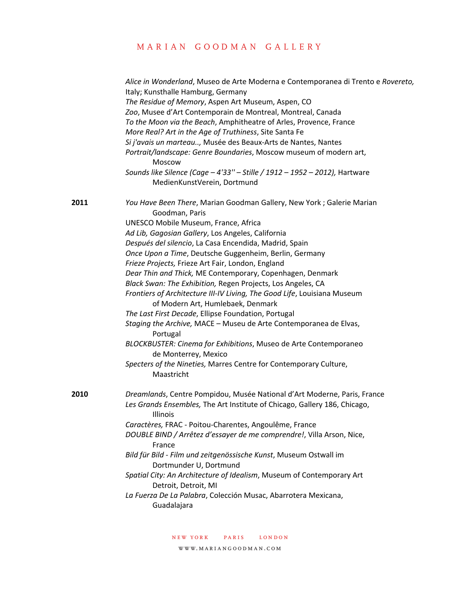|      | Alice in Wonderland, Museo de Arte Moderna e Contemporanea di Trento e Rovereto,<br>Italy; Kunsthalle Hamburg, Germany<br>The Residue of Memory, Aspen Art Museum, Aspen, CO<br>Zoo, Musee d'Art Contemporain de Montreal, Montreal, Canada<br>To the Moon via the Beach, Amphitheatre of Arles, Provence, France<br>More Real? Art in the Age of Truthiness, Site Santa Fe<br>Si j'avais un marteau, Musée des Beaux-Arts de Nantes, Nantes<br>Portrait/landscape: Genre Boundaries, Moscow museum of modern art,<br>Moscow<br>Sounds like Silence (Cage - 4'33" - Stille / 1912 - 1952 - 2012), Hartware<br>MedienKunstVerein, Dortmund |
|------|-------------------------------------------------------------------------------------------------------------------------------------------------------------------------------------------------------------------------------------------------------------------------------------------------------------------------------------------------------------------------------------------------------------------------------------------------------------------------------------------------------------------------------------------------------------------------------------------------------------------------------------------|
| 2011 | You Have Been There, Marian Goodman Gallery, New York; Galerie Marian<br>Goodman, Paris<br>UNESCO Mobile Museum, France, Africa                                                                                                                                                                                                                                                                                                                                                                                                                                                                                                           |
|      | Ad Lib, Gagosian Gallery, Los Angeles, California                                                                                                                                                                                                                                                                                                                                                                                                                                                                                                                                                                                         |
|      | Después del silencio, La Casa Encendida, Madrid, Spain                                                                                                                                                                                                                                                                                                                                                                                                                                                                                                                                                                                    |
|      | Once Upon a Time, Deutsche Guggenheim, Berlin, Germany                                                                                                                                                                                                                                                                                                                                                                                                                                                                                                                                                                                    |
|      | Frieze Projects, Frieze Art Fair, London, England                                                                                                                                                                                                                                                                                                                                                                                                                                                                                                                                                                                         |
|      | Dear Thin and Thick, ME Contemporary, Copenhagen, Denmark                                                                                                                                                                                                                                                                                                                                                                                                                                                                                                                                                                                 |
|      | Black Swan: The Exhibition, Regen Projects, Los Angeles, CA                                                                                                                                                                                                                                                                                                                                                                                                                                                                                                                                                                               |
|      | Frontiers of Architecture III-IV Living, The Good Life, Louisiana Museum<br>of Modern Art, Humlebaek, Denmark                                                                                                                                                                                                                                                                                                                                                                                                                                                                                                                             |
|      | The Last First Decade, Ellipse Foundation, Portugal                                                                                                                                                                                                                                                                                                                                                                                                                                                                                                                                                                                       |
|      | Staging the Archive, MACE - Museu de Arte Contemporanea de Elvas,<br>Portugal                                                                                                                                                                                                                                                                                                                                                                                                                                                                                                                                                             |
|      | BLOCKBUSTER: Cinema for Exhibitions, Museo de Arte Contemporaneo<br>de Monterrey, Mexico                                                                                                                                                                                                                                                                                                                                                                                                                                                                                                                                                  |
|      | Specters of the Nineties, Marres Centre for Contemporary Culture,<br>Maastricht                                                                                                                                                                                                                                                                                                                                                                                                                                                                                                                                                           |
| 2010 | Dreamlands, Centre Pompidou, Musée National d'Art Moderne, Paris, France                                                                                                                                                                                                                                                                                                                                                                                                                                                                                                                                                                  |
|      | Les Grands Ensembles, The Art Institute of Chicago, Gallery 186, Chicago,<br>Illinois                                                                                                                                                                                                                                                                                                                                                                                                                                                                                                                                                     |
|      | Caractères, FRAC - Poitou-Charentes, Angoulême, France                                                                                                                                                                                                                                                                                                                                                                                                                                                                                                                                                                                    |
|      | DOUBLE BIND / Arrêtez d'essayer de me comprendre!, Villa Arson, Nice,<br>France                                                                                                                                                                                                                                                                                                                                                                                                                                                                                                                                                           |
|      | Bild für Bild - Film und zeitgenössische Kunst, Museum Ostwall im<br>Dortmunder U, Dortmund                                                                                                                                                                                                                                                                                                                                                                                                                                                                                                                                               |
|      | Spatial City: An Architecture of Idealism, Museum of Contemporary Art<br>Detroit, Detroit, MI                                                                                                                                                                                                                                                                                                                                                                                                                                                                                                                                             |
|      | La Fuerza De La Palabra, Colección Musac, Abarrotera Mexicana,<br>Guadalajara                                                                                                                                                                                                                                                                                                                                                                                                                                                                                                                                                             |
|      |                                                                                                                                                                                                                                                                                                                                                                                                                                                                                                                                                                                                                                           |

new york paris london

www.mariangoodman.com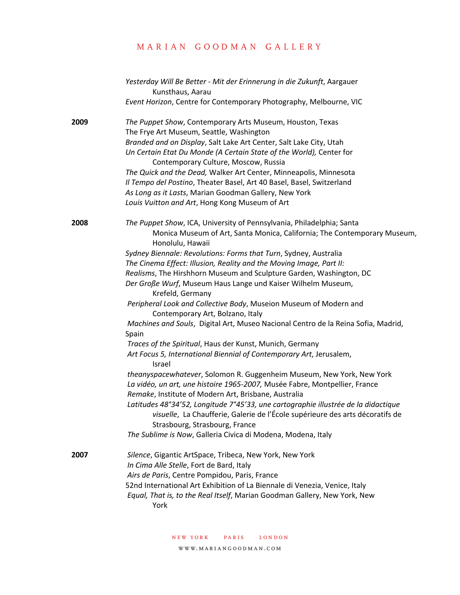|      | Yesterday Will Be Better - Mit der Erinnerung in die Zukunft, Aargauer<br>Kunsthaus, Aarau                                                          |
|------|-----------------------------------------------------------------------------------------------------------------------------------------------------|
|      | Event Horizon, Centre for Contemporary Photography, Melbourne, VIC                                                                                  |
| 2009 | The Puppet Show, Contemporary Arts Museum, Houston, Texas<br>The Frye Art Museum, Seattle, Washington                                               |
|      | Branded and on Display, Salt Lake Art Center, Salt Lake City, Utah                                                                                  |
|      | Un Certain Etat Du Monde (A Certain State of the World), Center for                                                                                 |
|      | Contemporary Culture, Moscow, Russia                                                                                                                |
|      | The Quick and the Dead, Walker Art Center, Minneapolis, Minnesota                                                                                   |
|      | Il Tempo del Postino, Theater Basel, Art 40 Basel, Basel, Switzerland                                                                               |
|      | As Long as it Lasts, Marian Goodman Gallery, New York                                                                                               |
|      | Louis Vuitton and Art, Hong Kong Museum of Art                                                                                                      |
| 2008 | The Puppet Show, ICA, University of Pennsylvania, Philadelphia; Santa                                                                               |
|      | Monica Museum of Art, Santa Monica, California; The Contemporary Museum,<br>Honolulu, Hawaii                                                        |
|      | Sydney Biennale: Revolutions: Forms that Turn, Sydney, Australia                                                                                    |
|      | The Cinema Effect: Illusion, Reality and the Moving Image, Part II:                                                                                 |
|      | Realisms, The Hirshhorn Museum and Sculpture Garden, Washington, DC                                                                                 |
|      | Der Große Wurf, Museum Haus Lange und Kaiser Wilhelm Museum,                                                                                        |
|      | Krefeld, Germany                                                                                                                                    |
|      | Peripheral Look and Collective Body, Museion Museum of Modern and                                                                                   |
|      | Contemporary Art, Bolzano, Italy                                                                                                                    |
|      | Machines and Souls, Digital Art, Museo Nacional Centro de la Reina Sofia, Madrid,<br>Spain                                                          |
|      | Traces of the Spiritual, Haus der Kunst, Munich, Germany                                                                                            |
|      | Art Focus 5, International Biennial of Contemporary Art, Jerusalem,<br>Israel                                                                       |
|      | theanyspacewhatever, Solomon R. Guggenheim Museum, New York, New York<br>La vidéo, un art, une histoire 1965-2007, Musée Fabre, Montpellier, France |
|      | Remake, Institute of Modern Art, Brisbane, Australia                                                                                                |
|      | Latitudes 48°34'52, Longitude 7°45'33, une cartographie illustrée de la didactique                                                                  |
|      | visuelle, La Chaufferie, Galerie de l'École supérieure des arts décoratifs de                                                                       |
|      | Strasbourg, Strasbourg, France                                                                                                                      |
|      | The Sublime is Now, Galleria Civica di Modena, Modena, Italy                                                                                        |
| 2007 | Silence, Gigantic ArtSpace, Tribeca, New York, New York                                                                                             |
|      | In Cima Alle Stelle, Fort de Bard, Italy                                                                                                            |
|      | Airs de Paris, Centre Pompidou, Paris, France                                                                                                       |
|      | 52nd International Art Exhibition of La Biennale di Venezia, Venice, Italy                                                                          |
|      | Equal, That is, to the Real Itself, Marian Goodman Gallery, New York, New<br>York                                                                   |
|      |                                                                                                                                                     |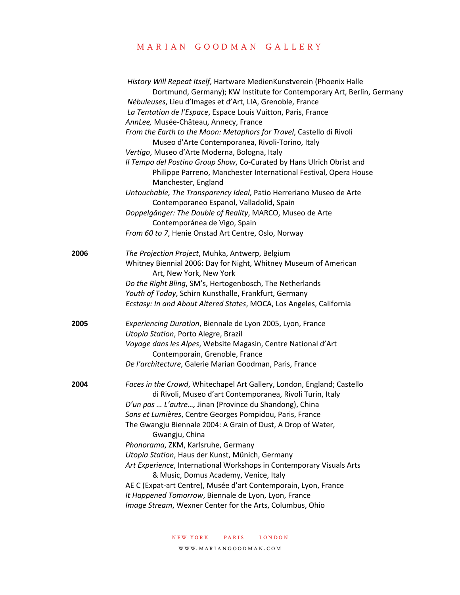|      | History Will Repeat Itself, Hartware MedienKunstverein (Phoenix Halle<br>Dortmund, Germany); KW Institute for Contemporary Art, Berlin, Germany<br>Nébuleuses, Lieu d'Images et d'Art, LIA, Grenoble, France |
|------|--------------------------------------------------------------------------------------------------------------------------------------------------------------------------------------------------------------|
|      | La Tentation de l'Espace, Espace Louis Vuitton, Paris, France                                                                                                                                                |
|      | AnnLee, Musée-Château, Annecy, France                                                                                                                                                                        |
|      | From the Earth to the Moon: Metaphors for Travel, Castello di Rivoli                                                                                                                                         |
|      | Museo d'Arte Contemporanea, Rivoli-Torino, Italy                                                                                                                                                             |
|      | Vertigo, Museo d'Arte Moderna, Bologna, Italy                                                                                                                                                                |
|      | Il Tempo del Postino Group Show, Co-Curated by Hans Ulrich Obrist and<br>Philippe Parreno, Manchester International Festival, Opera House<br>Manchester, England                                             |
|      | Untouchable, The Transparency Ideal, Patio Herreriano Museo de Arte                                                                                                                                          |
|      | Contemporaneo Espanol, Valladolid, Spain                                                                                                                                                                     |
|      | Doppelgänger: The Double of Reality, MARCO, Museo de Arte                                                                                                                                                    |
|      | Contemporánea de Vigo, Spain                                                                                                                                                                                 |
|      | From 60 to 7, Henie Onstad Art Centre, Oslo, Norway                                                                                                                                                          |
| 2006 | The Projection Project, Muhka, Antwerp, Belgium                                                                                                                                                              |
|      | Whitney Biennial 2006: Day for Night, Whitney Museum of American<br>Art, New York, New York                                                                                                                  |
|      | Do the Right Bling, SM's, Hertogenbosch, The Netherlands                                                                                                                                                     |
|      | Youth of Today, Schirn Kunsthalle, Frankfurt, Germany                                                                                                                                                        |
|      | Ecstasy: In and About Altered States, MOCA, Los Angeles, California                                                                                                                                          |
| 2005 | Experiencing Duration, Biennale de Lyon 2005, Lyon, France                                                                                                                                                   |
|      | Utopia Station, Porto Alegre, Brazil                                                                                                                                                                         |
|      | Voyage dans les Alpes, Website Magasin, Centre National d'Art<br>Contemporain, Grenoble, France                                                                                                              |
|      | De l'architecture, Galerie Marian Goodman, Paris, France                                                                                                                                                     |
| 2004 | Faces in the Crowd, Whitechapel Art Gallery, London, England; Castello<br>di Rivoli, Museo d'art Contemporanea, Rivoli Turin, Italy                                                                          |
|      | D'un pas  L'autre, Jinan (Province du Shandong), China                                                                                                                                                       |
|      | Sons et Lumières, Centre Georges Pompidou, Paris, France                                                                                                                                                     |
|      | The Gwangju Biennale 2004: A Grain of Dust, A Drop of Water,<br>Gwangju, China                                                                                                                               |
|      | Phonorama, ZKM, Karlsruhe, Germany                                                                                                                                                                           |
|      | Utopia Station, Haus der Kunst, Münich, Germany                                                                                                                                                              |
|      | Art Experience, International Workshops in Contemporary Visuals Arts<br>& Music, Domus Academy, Venice, Italy                                                                                                |
|      | AE C (Expat-art Centre), Musée d'art Contemporain, Lyon, France                                                                                                                                              |
|      | It Happened Tomorrow, Biennale de Lyon, Lyon, France                                                                                                                                                         |
|      | Image Stream, Wexner Center for the Arts, Columbus, Ohio                                                                                                                                                     |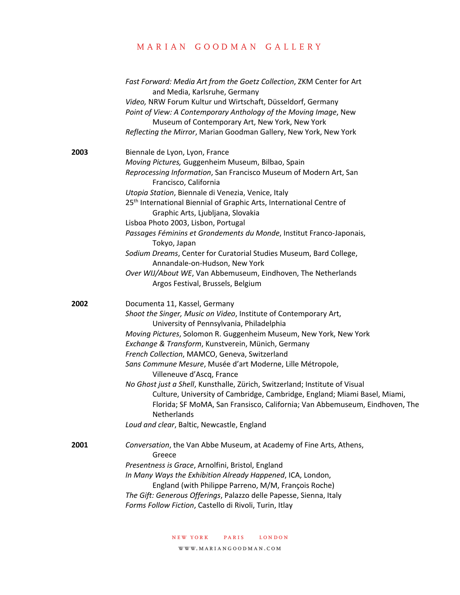|      | Fast Forward: Media Art from the Goetz Collection, ZKM Center for Art<br>and Media, Karlsruhe, Germany<br>Video, NRW Forum Kultur und Wirtschaft, Düsseldorf, Germany<br>Point of View: A Contemporary Anthology of the Moving Image, New<br>Museum of Contemporary Art, New York, New York<br>Reflecting the Mirror, Marian Goodman Gallery, New York, New York                                                                                                                                                                                                                                                                                                                                                             |
|------|------------------------------------------------------------------------------------------------------------------------------------------------------------------------------------------------------------------------------------------------------------------------------------------------------------------------------------------------------------------------------------------------------------------------------------------------------------------------------------------------------------------------------------------------------------------------------------------------------------------------------------------------------------------------------------------------------------------------------|
| 2003 | Biennale de Lyon, Lyon, France<br>Moving Pictures, Guggenheim Museum, Bilbao, Spain<br>Reprocessing Information, San Francisco Museum of Modern Art, San<br>Francisco, California<br>Utopia Station, Biennale di Venezia, Venice, Italy<br>25 <sup>th</sup> International Biennial of Graphic Arts, International Centre of<br>Graphic Arts, Ljubljana, Slovakia<br>Lisboa Photo 2003, Lisbon, Portugal<br>Passages Féminins et Grondements du Monde, Institut Franco-Japonais,<br>Tokyo, Japan<br>Sodium Dreams, Center for Curatorial Studies Museum, Bard College,<br>Annandale-on-Hudson, New York<br>Over WIJ/About WE, Van Abbemuseum, Eindhoven, The Netherlands<br>Argos Festival, Brussels, Belgium                 |
| 2002 | Documenta 11, Kassel, Germany<br>Shoot the Singer, Music on Video, Institute of Contemporary Art,<br>University of Pennsylvania, Philadelphia<br>Moving Pictures, Solomon R. Guggenheim Museum, New York, New York<br>Exchange & Transform, Kunstverein, Münich, Germany<br>French Collection, MAMCO, Geneva, Switzerland<br>Sans Commune Mesure, Musée d'art Moderne, Lille Métropole,<br>Villeneuve d'Ascq, France<br>No Ghost just a Shell, Kunsthalle, Zürich, Switzerland; Institute of Visual<br>Culture, University of Cambridge, Cambridge, England; Miami Basel, Miami,<br>Florida; SF MoMA, San Fransisco, California; Van Abbemuseum, Eindhoven, The<br>Netherlands<br>Loud and clear, Baltic, Newcastle, England |
| 2001 | Conversation, the Van Abbe Museum, at Academy of Fine Arts, Athens,<br>Greece<br>Presentness is Grace, Arnolfini, Bristol, England<br>In Many Ways the Exhibition Already Happened, ICA, London,<br>England (with Philippe Parreno, M/M, François Roche)<br>The Gift: Generous Offerings, Palazzo delle Papesse, Sienna, Italy<br>Forms Follow Fiction, Castello di Rivoli, Turin, Itlay                                                                                                                                                                                                                                                                                                                                     |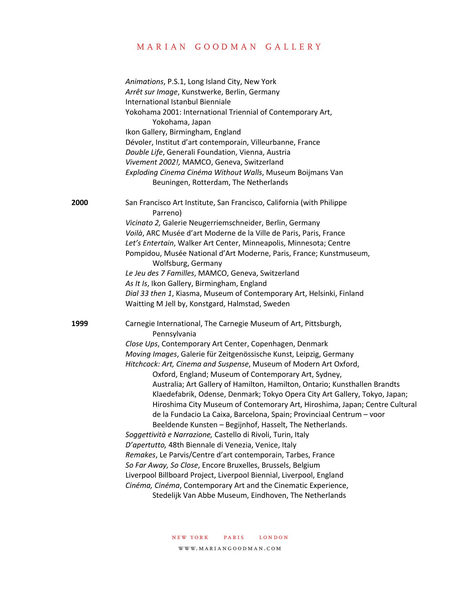|      | Animations, P.S.1, Long Island City, New York<br>Arrêt sur Image, Kunstwerke, Berlin, Germany<br>International Istanbul Bienniale<br>Yokohama 2001: International Triennial of Contemporary Art,<br>Yokohama, Japan<br>Ikon Gallery, Birmingham, England<br>Dévoler, Institut d'art contemporain, Villeurbanne, France<br>Double Life, Generali Foundation, Vienna, Austria<br>Vivement 2002!, MAMCO, Geneva, Switzerland<br>Exploding Cinema Cinéma Without Walls, Museum Boijmans Van                                                                                                                                                                                                                                                                                                                                                                                                                                                                                                                                                                                                                                                                                              |
|------|--------------------------------------------------------------------------------------------------------------------------------------------------------------------------------------------------------------------------------------------------------------------------------------------------------------------------------------------------------------------------------------------------------------------------------------------------------------------------------------------------------------------------------------------------------------------------------------------------------------------------------------------------------------------------------------------------------------------------------------------------------------------------------------------------------------------------------------------------------------------------------------------------------------------------------------------------------------------------------------------------------------------------------------------------------------------------------------------------------------------------------------------------------------------------------------|
| 2000 | Beuningen, Rotterdam, The Netherlands<br>San Francisco Art Institute, San Francisco, California (with Philippe<br>Parreno)<br>Vicinato 2, Galerie Neugerriemschneider, Berlin, Germany<br>Voilà, ARC Musée d'art Moderne de la Ville de Paris, Paris, France<br>Let's Entertain, Walker Art Center, Minneapolis, Minnesota; Centre<br>Pompidou, Musée National d'Art Moderne, Paris, France; Kunstmuseum,                                                                                                                                                                                                                                                                                                                                                                                                                                                                                                                                                                                                                                                                                                                                                                            |
|      | Wolfsburg, Germany<br>Le Jeu des 7 Familles, MAMCO, Geneva, Switzerland<br>As It Is, Ikon Gallery, Birmingham, England<br>Dial 33 then 1, Kiasma, Museum of Contemporary Art, Helsinki, Finland<br>Waitting M Jell by, Konstgard, Halmstad, Sweden                                                                                                                                                                                                                                                                                                                                                                                                                                                                                                                                                                                                                                                                                                                                                                                                                                                                                                                                   |
| 1999 | Carnegie International, The Carnegie Museum of Art, Pittsburgh,<br>Pennsylvania<br>Close Ups, Contemporary Art Center, Copenhagen, Denmark<br>Moving Images, Galerie für Zeitgenössische Kunst, Leipzig, Germany<br>Hitchcock: Art, Cinema and Suspense, Museum of Modern Art Oxford,<br>Oxford, England; Museum of Contemporary Art, Sydney,<br>Australia; Art Gallery of Hamilton, Hamilton, Ontario; Kunsthallen Brandts<br>Klaedefabrik, Odense, Denmark; Tokyo Opera City Art Gallery, Tokyo, Japan;<br>Hiroshima City Museum of Contemorary Art, Hiroshima, Japan; Centre Cultural<br>de la Fundacio La Caixa, Barcelona, Spain; Provinciaal Centrum - voor<br>Beeldende Kunsten - Begijnhof, Hasselt, The Netherlands.<br>Soggettività e Narrazione, Castello di Rivoli, Turin, Italy<br>D'apertutto, 48th Biennale di Venezia, Venice, Italy<br>Remakes, Le Parvis/Centre d'art contemporain, Tarbes, France<br>So Far Away, So Close, Encore Bruxelles, Brussels, Belgium<br>Liverpool Billboard Project, Liverpool Biennial, Liverpool, England<br>Cinéma, Cinéma, Contemporary Art and the Cinematic Experience,<br>Stedelijk Van Abbe Museum, Eindhoven, The Netherlands |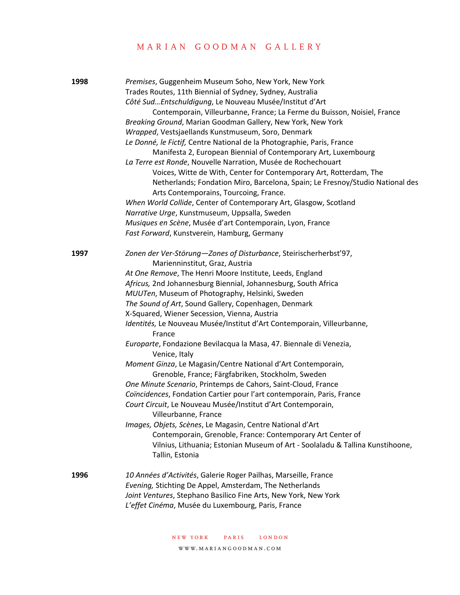| 1998 | Premises, Guggenheim Museum Soho, New York, New York<br>Trades Routes, 11th Biennial of Sydney, Sydney, Australia<br>Côté Sud Entschuldigung, Le Nouveau Musée/Institut d'Art<br>Contemporain, Villeurbanne, France; La Ferme du Buisson, Noisiel, France<br>Breaking Ground, Marian Goodman Gallery, New York, New York<br>Wrapped, Vestsjaellands Kunstmuseum, Soro, Denmark<br>Le Donné, le Fictif, Centre National de la Photographie, Paris, France<br>Manifesta 2, European Biennial of Contemporary Art, Luxembourg<br>La Terre est Ronde, Nouvelle Narration, Musée de Rochechouart<br>Voices, Witte de With, Center for Contemporary Art, Rotterdam, The<br>Netherlands; Fondation Miro, Barcelona, Spain; Le Fresnoy/Studio National des<br>Arts Contemporains, Tourcoing, France.<br>When World Collide, Center of Contemporary Art, Glasgow, Scotland<br>Narrative Urge, Kunstmuseum, Uppsalla, Sweden                                                                                                                                                                                                                                             |
|------|----------------------------------------------------------------------------------------------------------------------------------------------------------------------------------------------------------------------------------------------------------------------------------------------------------------------------------------------------------------------------------------------------------------------------------------------------------------------------------------------------------------------------------------------------------------------------------------------------------------------------------------------------------------------------------------------------------------------------------------------------------------------------------------------------------------------------------------------------------------------------------------------------------------------------------------------------------------------------------------------------------------------------------------------------------------------------------------------------------------------------------------------------------------|
|      | Musiques en Scène, Musée d'art Contemporain, Lyon, France<br>Fast Forward, Kunstverein, Hamburg, Germany                                                                                                                                                                                                                                                                                                                                                                                                                                                                                                                                                                                                                                                                                                                                                                                                                                                                                                                                                                                                                                                       |
| 1997 | Zonen der Ver-Störung-Zones of Disturbance, Steirischerherbst'97,<br>Marienninstitut, Graz, Austria<br>At One Remove, The Henri Moore Institute, Leeds, England<br>Africus, 2nd Johannesburg Biennial, Johannesburg, South Africa<br>MUUTen, Museum of Photography, Helsinki, Sweden<br>The Sound of Art, Sound Gallery, Copenhagen, Denmark<br>X-Squared, Wiener Secession, Vienna, Austria<br>Identités, Le Nouveau Musée/Institut d'Art Contemporain, Villeurbanne,<br>France<br>Europarte, Fondazione Bevilacqua la Masa, 47. Biennale di Venezia,<br>Venice, Italy<br>Moment Ginza, Le Magasin/Centre National d'Art Contemporain,<br>Grenoble, France; Färgfabriken, Stockholm, Sweden<br>One Minute Scenario, Printemps de Cahors, Saint-Cloud, France<br>Coïncidences, Fondation Cartier pour l'art contemporain, Paris, France<br>Court Circuit, Le Nouveau Musée/Institut d'Art Contemporain,<br>Villeurbanne, France<br>Images, Objets, Scènes, Le Magasin, Centre National d'Art<br>Contemporain, Grenoble, France: Contemporary Art Center of<br>Vilnius, Lithuania; Estonian Museum of Art - Soolaladu & Tallina Kunstihoone,<br>Tallin, Estonia |
| 1996 | 10 Années d'Activités, Galerie Roger Pailhas, Marseille, France<br>Evening, Stichting De Appel, Amsterdam, The Netherlands<br>Joint Ventures, Stephano Basilico Fine Arts, New York, New York<br>L'effet Cinéma, Musée du Luxembourg, Paris, France                                                                                                                                                                                                                                                                                                                                                                                                                                                                                                                                                                                                                                                                                                                                                                                                                                                                                                            |